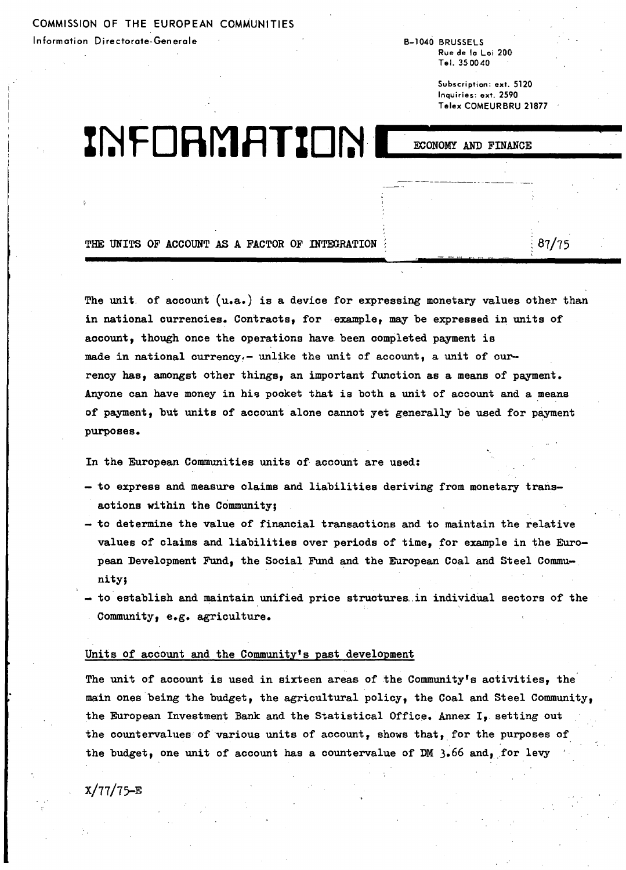COMMISSION OF THE EUROPEAN COMMuNITIES Information Directorate-Generale B-1040 BRUSSELS

Rue de to La; 200 Tel. 350040

> Subscription: ext. 5120 Inquiries: ext. 2590 Telex COMEURBRU 21877

> > $87/75$

Z~ f **0Rr:1** flT%D~I ......EC\_ONOMY\_AND\_FINANC\_E\_

'-

THE UNITS OF ACCOUNT AS A FACTOR OF INTEGRATION

The unit of account (u.a.) is a device for expressing monetary values other than in national currencies. Contracts, for example, may be expressed in units of account, though once the operations have been completed payment is made in national currency.- unlike the unit of account, a unit of currency has, amongst other things, an important function as a means of payment. Anyone can have money in his pocket that is both a unit of account and a means of payment, but units of account alone cannot yet generally be used for payment purposes.

In the European Communities units of account are used:

- to express and measure claims and liabilities deriving from monetary transactions within the Community;
- to determine the value of financial transactions and to maintain the relative values of claims and liabilities over periods of time, for example in the European Development Fund, the Social Fund and the European Coal and Steel Community;
- to establish and maintain unified price structures in individual sectors of the Community, e.g. agriculture.

# Units of account and the Community's past development

The unit of account is used in sixteen areas of the Community's activities, the main ones being the budget, the agricultural policy, the Coal and Steel Community, the European Investment Bank and the Statistical Office. Annex I, setting out the countervalues of various units of account, shows that, for the purposes of the budget, one unit of account has a countervalue of DM  $3.66$  and, for levy

 $X/77/75-E$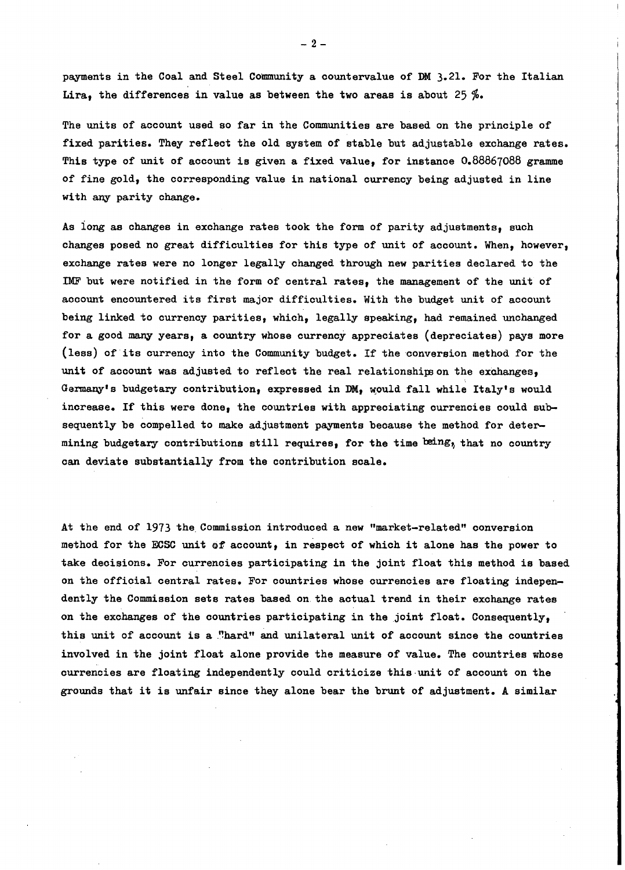payments in the Coal and Steel Community a countervalue of DM 3.21. For the Italian Lira, the differences in value as between the two areas is about 25  $\%$ .

The units of account used so far in the Communities are based on the principle of fixed parities. They reflect the old system of stable but adjustable exchange rates. . This type of unit of account is given a fixed value, for instanoe 0.88867088 gramme of fine gold, the corresponding value in national currency being adjusted in line with any parity change.

As iong as changes in exchange rates took the form of parity adjustments, such changes posed no great difficulties for this type of unit of account. When, however, exchange rates were no longer legally changed through new parities declared to the IMF but were notified in the form of central rates, the management of the unit of account encountered its first major difficulties. With the budget unit of account being linked to currency parities, which, legally speaking, had remained unchanged for a good many years, a country whose currency appreoiates (depreciates) pays more (less) of its currency into the Community budget. If the conversion method for the unit of account was adjusted to reflect the real relationships on the exchanges, Garmany's budgetary contribution, expressed in DM, would fall while Italy's would increase. If this were done, the countries with appreoiating ourrencies could subsequently be compelled to make adjustment payments because the method for determining budgetary contributions still requires, for the time being, that no country oan deviate substantially from the contribution scale.

At the end of 1973 the Commission introduced a new "market-related" conversion method for the ECSC unit of account, in respect of which it alone has the power to take deoisions. For currencies participating in the joint float this method is based on the offioial oentral rates. For oountries whose ourrenoies are floating independently the Commission sets rates based on the aotual trend in their exohange rates on the exohanges of the oountries partioipating in the joint float. Consequently, this unit of account is a "hard" and unilateral unit of account since the countries involved in the joint float alone provide the measure of value. The countries whose currencies are floating independently could critioize this·unit of account on the grounds that it is unfair since they alone bear the brunt of adjustment. <sup>A</sup> similar

 $-2-$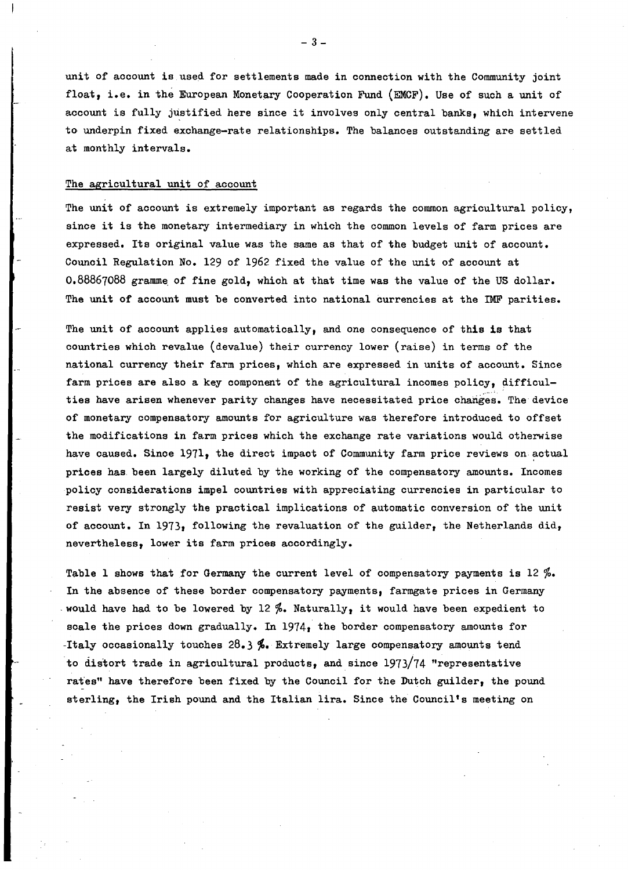unit of account is used for settlements made in connection with the Community joint float, i.e. in the European Monetary Cooperation Fund (EMCF). Use of such a unit of account is fully justified here since it involves only central banks, which intervene to underpin fixed exchange-rate relationships. The balances outstanding are settled at monthly intervals.

## The agricultural unit of account

The unit of account is extremely important as regards the common agricultural policy, since it is the monetary intermediary in which the COmmon levels of farm prices are expressed. Its original value was the same as that of the budget unit of account. Council Regulation No. 129 of 1962 fixed the value of the unit of account at  $0.88867088$  gramme of fine gold, which at that time was the value of the US dollar. The unit of account must be converted into national currencies at the IMF parities.

The unit of account applies automatically, and one consequence of this is that countries which revalue (devalue) their currency lower (raise) in terms of the national currency their farm prices, which are expressed in units of account. Since farm prices are also a key component of the agricultural incomes policy, difficulties have arisen whenever parity changes have necessitated price changes. The device of monetary compensatory amounts for agriculture was therefore introduced to offset the modifications in farm prices which the exchange rate variations would otherwise have caused. Since 1971, the direct impaot of Community farm price reviews on actual prices has been largely diluted by the working of the compensatory amounts. Incomes policy considerations impel countries with appreciating currenoies in particular to resist very strongly the practical implications of automatio conversion of the unit of account. In 1973, following the revaluation of the guilder, the Netherlands did, nevertheless, lower its farm prioes accordingly.

Table 1 shows that for Germany the current level of compensatory payments is  $12\%$ . In the absence of these border compensatory payments, farmgate prices in Germany would have had to be lowered by 12 %. Naturally, it would have been expedient to soale the prices down gradually. In 1974, the border compensatory amounts for -Italy occasionally touches 28.3 **%.** Extremely large compensatory amounts tend to distort trade in agrioultural products, and since 1973/74 "representative rates" have therefore been fixed by the Council for the Dutch guilder, the pound sterling, the Irish pound and the Italian lira. Since the Council's meeting on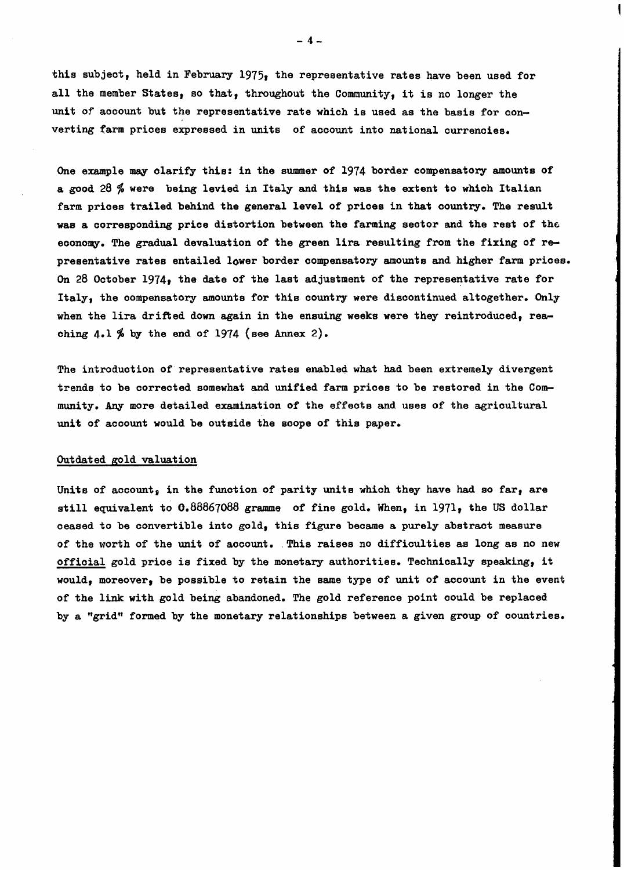this subject, held in February 1975, the representative rates have been used for all the member States, so that, throughout the Community, it is no longer the unit of aocount but the representative rate which is used as the basis for converting farm prices expressed in units of account into national currenoies.

One example may clarify this: in the summer of 1974 border compensatory amounts of a good 28 % were being levied in Italy and this was the extent to which Italian farm prioes trailed behind the general level of prioes in that country. The result was a corresponding price distortion between the farming sector and the rest of the economy. The gradual devaluation of the green lira resulting from the fixing of representative rates entailed lower border compensatory amounts and higher farm prices. On 28 October 1974, the date of the last adjustment of the representative rate for Italy, the oompensatory amounts for this country were discontinued altogether. Only when the lira drifted down again in the ensuing weeks were they reintroduced, reaching  $4.1\%$  by the end of 1974 (see Annex 2).

The introduction of representative rates enabled what had been extremely divergent trends to be corrected somewhat and unified farm prices to be restored in the Community. Any more detailed examination of the effeots and uses of the agricultural unit of acoount would be outside the soope of this paper.

## Outdated gold valuation

Units of account, in the function of parity units which they have had so far, are still equivalent to 0.88867088 gramme of fine gold. When, in 1971, the US dollar ceased to be convertible into gold, this figure became a purely abstraot measure of the worth of the unit of account. This raises no difficulties as long as no new offioia1 gold prioe is fixed by the monetary authorities. Teohnioally speaking, it would, moreover, be possible to retain the same type of unit of account in the event of the link with gold being abandoned. The gold reference point oould be replaced by a "grid" formed by the monetary relationships between a given group of oountries.

- 4-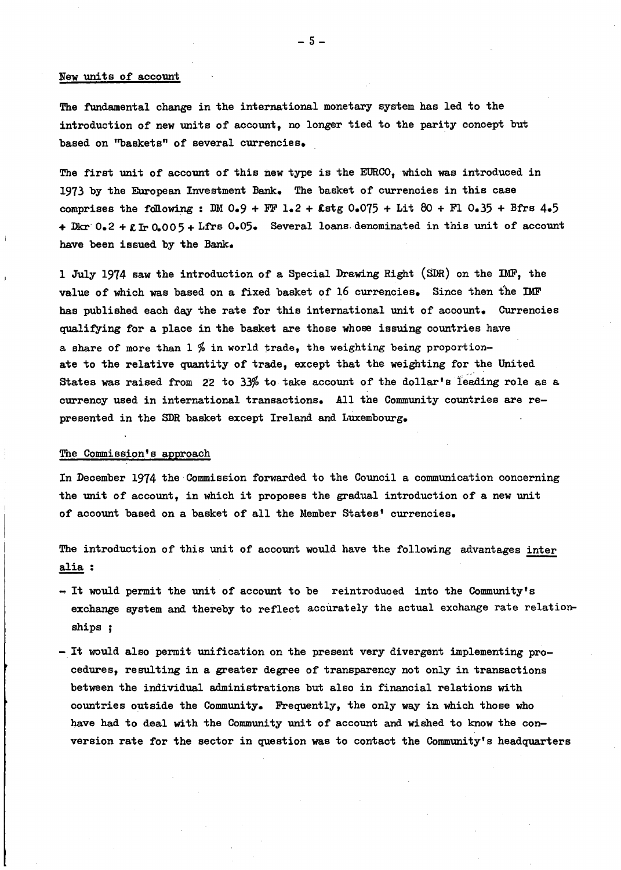## New units of account

The fundamental change in the international monetary system has led to the introduction of new units of aooount, no longer tied to the parity concept but based on "baskets" of several currencies.

The first unit of account of this new type is the EURCO, which was introduced in 1973 by the European Investment Bank. The basket of currencies in this case comprises the following: DM  $0.9 + FF$   $1.2 +$  £stg  $0.075 +$  Lit 80 + F1  $0.35 + B$ frs 4.5 + Dkr  $0.2 + \ell$  Ir 0.005 + Lfrs 0.05. Several loans denominated in this unit of account have been issued by the Bank.

1 July 1974 saw the introduction of a Special Drawing Right (SDR) on the IMF, the value of which was based on a fixed basket of 16 currencies. Since then the DMF has published each day the rate for this international unit of account. Currencies qualifYing for a plaoe in the basket are those whose issuing countries have a share of more than  $1\frac{q}{q}$  in world trade, the weighting being proportionate to the relative quantity of trade, except that the weighting for the United States was raised from 22 to 33% to take account of the dollar's leading role as a ourrenoy used in international transactions. All the Community countries are represented in the SDR basket except Ireland and Luxembourg.

# The Commission's approach

In December 1974 the Commission forwarded to the Council a communication concerning the unit of account, in which it proposes the gradual introduction of a new unit of account based on a basket of all the Member States' currencies.

The introduction of this unit of account would have the following advantages inter alia:

- $-$  It would permit the unit of account to be reintroduced into the Community's exchange system and thereby to reflect accurately the aotual exohange rate relationships ;
- It would also permit unification on the present very divergent implementing procedures, resulting in a greater degree of transparency not only in transactions between the individual administrations but also in financial relations with countries outside the Community. Frequently, the only way in which those who have had to deal with the Community unit of account and wished to know the conversion rate for the sector in question was to contact the Community's headquarters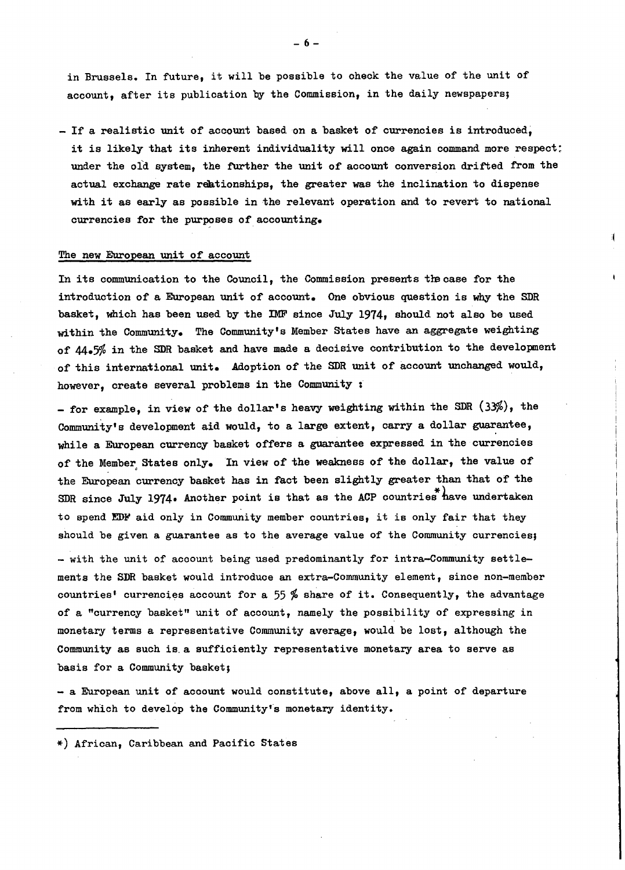in Brussels. In future, it will be possible to oheok the value of the unit of account, after its publication by the Commission, in the daily newspapers;

 $-$  If a realistic unit of account based on a basket of currencies is introduced, it is likely that its inherent individuality will once again command more respect: under the old system, the further the unit of account conversion drifted from the actual exchange rate reationships, the greater was the inclination to dispense with it as early as possible in the relevant operation and to revert to national currencies for the purposes of accounting.

#### The new European unit of account

In its communication to the Council, the Commission presents the case for the introduction of a European unit of account. One obvious question is why the SDR basket, which has been used by the IMF since July 1974, should not also be used within the Community. The Community's Member states have an aggregate weighting of' 44.5% in the SDR basket and have made a decisive contribution to the development of this international unit. Adoption of the SDR unit of account unchanged would, however, create several problems in the Community :

- for example, in view of the dollar's heavy weighting within the SDR (33%), the Community's development aid would, to a large extent, carry a dollar guarantee, while a European currency basket offers a guarantee expressed in the currencies of the Member States only. In view of the weakness of the dollar, the value of the European currency basket has in fact been slightly greater than that of the SDR since July 1974. Another point is that as the ACP countries have undertaken to spend EDF aid only in Community member countries, it is only fair that they should be given a guarantee as to the average value of the Community ourrenoies;

- with the unit of account being used predominantly for intra-Community settlements the SDR basket would introduoe an extra-Community element, sinoe non-member countries' currencies account for a 55 % share of it. Consequently, the advantage of a "ourrenoy basket" unit of aooount, namely the possibility of expressing in monetary terms a representative Community average, would be lost, although the Community as such is a sufficiently representative monetary area to serve as basis for a Community basket;

- a European unit of account would constitute, above all, a point of departure from which to develop the Community's monetary identity.

\*) African, Caribbean and Pacifio States

-6-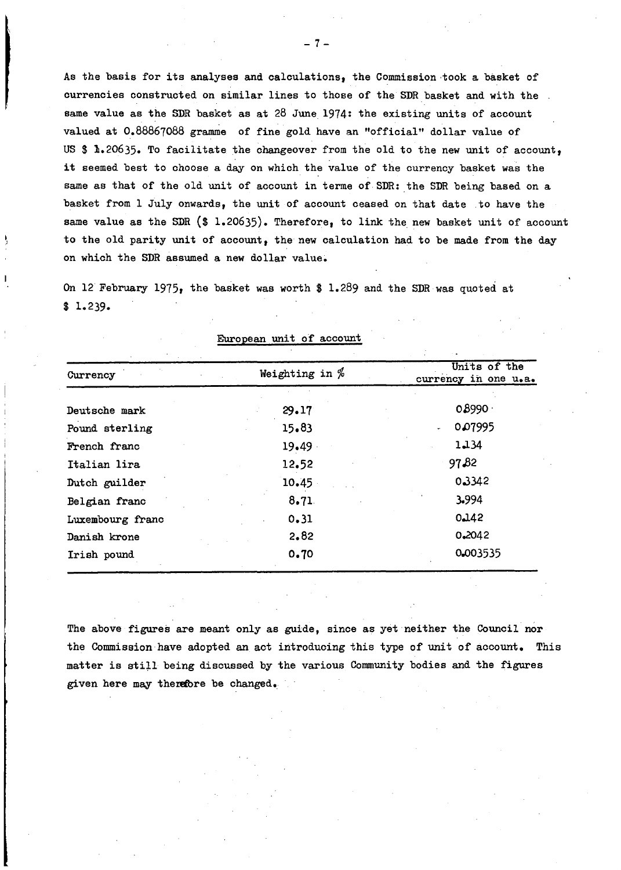As the basis for its analyses and calculations, the Commission-took a basket of currencies constructed on similar lines to those of the SDR basket and with the same value as the SDR basket as at 28 June 1974: the existing units of account valued at 0.88867088 gramme of fine gold have an "official" dollar value of US \$ 1.20635. To facilitate the changeover from the old to the new unit of account, it seemed best to choose <sup>a</sup> day on whioh the value of the currency basket was the same as that of the old unit of account in terme of SDR: the SDR being based on a basket from 1 July onwards, the unit of account ceased on that date to have the same value as the SDR  $(\text{$}1.20635)$ . Therefore, to link the new basket unit of account to the old parity unit of account, the new oalculation had to be made from the day on which the SDR assumed a new dollar value.

On 12 February 1975, the basket was worth \$ 1.289 and the SDR was quoted at \$ 1.239.

| Currency         | Weighting in $%$ | Units of the<br>currency in one u.a. |
|------------------|------------------|--------------------------------------|
| Deutsche mark    | 29.17            | 0.8990                               |
| Pound sterling   | 15.83            | 0.07995<br>$\ddot{\phantom{a}}$      |
| French franc     | 19.49            | 1,134                                |
| Italian lira     | 12.52            | 97,82                                |
| Dutch guilder    | 10.45            | 0.3342                               |
| Belgian franc    | 8.71             | 3.994                                |
| Luxembourg franc | 0.31             | 0.142                                |
| Danish krone     | 2.82             | 0.2042                               |
| Irish pound      | 0.70             | 0.003535                             |

European unit of account

The above figures are meant only as guide, since as yet neither the Council nor the Commission have adopted an act introducing this type of unit of account. This matter is still being discussed by the various Community bodies and the figures given here may therefore be changed.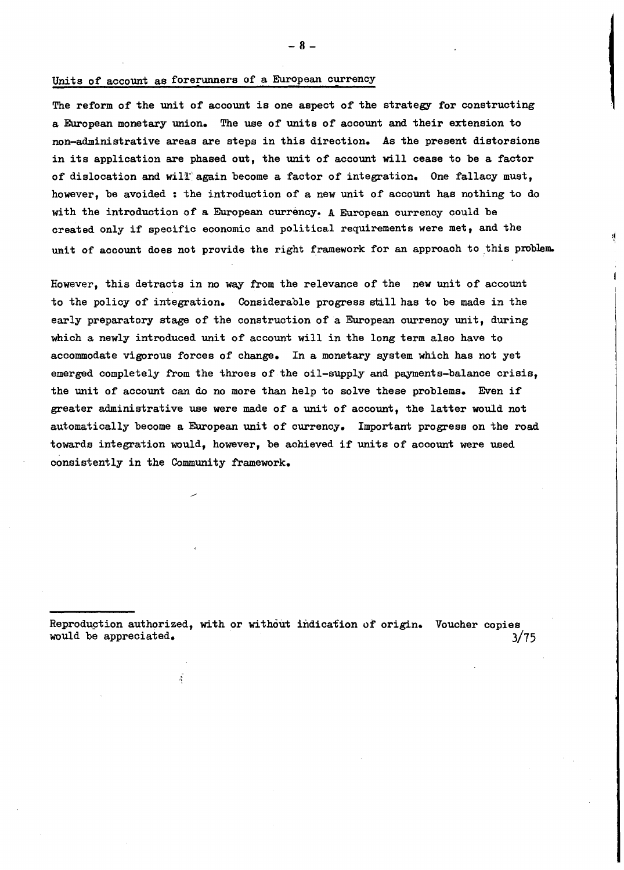## Units of account as forerwmers of a European currency

The reform of the unit of account is one aspect of the strategy for constructing a European monetary union. The use of units of aocount and their extension to non-administrative areas are steps in this direotion. As the present distorsions in its application are phased out, the unit of aocount will cease to be <sup>a</sup> factor of dislocation and will again become a factor of integration. One fallacy must, however, be avoided: the introduction of a new unit of account has nothing to do with the introduction of a European currency. A European currency could be created only if specific economic and political requirements were met, and the unit of account does not provide the right framework for an approach to this problem.

However, this detracts in no way from the relevance of the new unit of account to the policy of integration. Considerable progress still has to be made in the early preparatory stage of the construction of a European currency unit, during which a newly introduced unit of account will in the long term also have to accommodate vigorous forces of change. In a monetary system which has not yet emerged completely from the throes of the oil-supply and payments-balance crisis, the unit of account can do no more than help to solve these problems. Even if greater administrative use were made of a unit of account, the latter would not automatically become a European unit of currency. Important progress on the road towards integration would, however, be achieved if units of account were used consistently in the Community framework.

.

Reproduction authorized, with or without indication of origin. Voucher copies would be appreciated. 3/75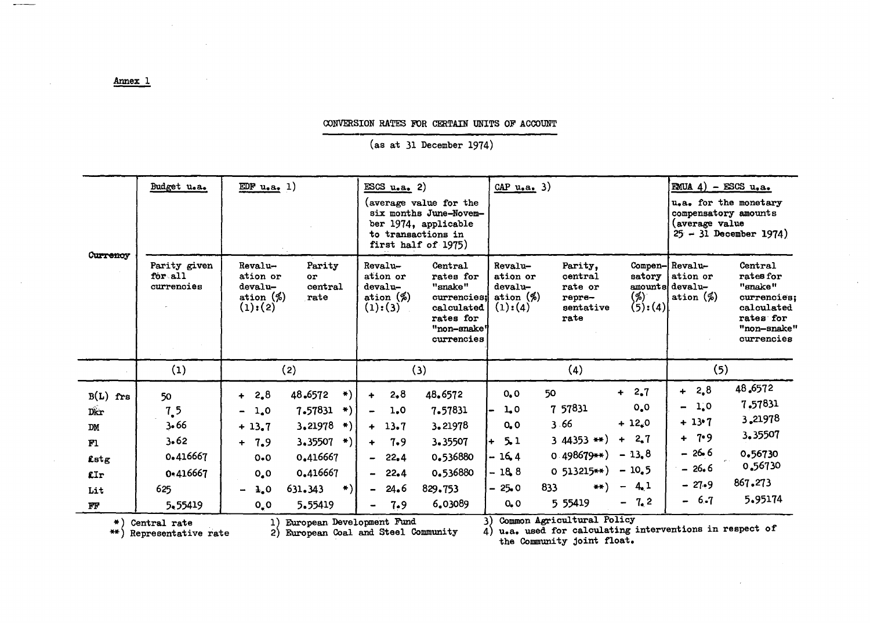## CONVERSION RATES FOR CERTAIN UNITS OF ACCOUNT

 $(as at 31 December 1974)$ 

| Curremoy                                                                                                                                                                                                                                                                   | Budget u.a.                                                         | EDF $u$ , a, 1)                                                                                                                                                                                                                            | $ESS$ u.a. 2)<br>(average value for the<br>six months June-Novem-<br>ber 1974, applicable<br>to transactions in<br>first half of 1975)                                                            | $CAP$ u.a. 3)                                                                                                                                                                                                                                                                         | <b>EMUA</b> 4) - ESCS $u_0a_0$<br>u.a. for the monetary<br>compensatory amounts<br>(average value<br>$25 - 31$ December 1974)                                              |  |  |
|----------------------------------------------------------------------------------------------------------------------------------------------------------------------------------------------------------------------------------------------------------------------------|---------------------------------------------------------------------|--------------------------------------------------------------------------------------------------------------------------------------------------------------------------------------------------------------------------------------------|---------------------------------------------------------------------------------------------------------------------------------------------------------------------------------------------------|---------------------------------------------------------------------------------------------------------------------------------------------------------------------------------------------------------------------------------------------------------------------------------------|----------------------------------------------------------------------------------------------------------------------------------------------------------------------------|--|--|
|                                                                                                                                                                                                                                                                            | Parity given<br>for all<br>currencies                               | Revalu-<br>Parity<br>ation or<br>Оľ<br>devalu-<br>central<br>ation $(\%)$<br>rate<br>(1):(2)                                                                                                                                               | Revalu-<br>Central<br>rates for<br>ation or<br>devalu-<br>"snake"<br>ation $(\%)$<br>currencies:<br>(1):(3)<br>calculated<br>rates for<br>"non-snake"<br>currencies                               | Revalu-<br>Parity,<br>ation or<br>central<br>satory<br>devalu-<br>rate or<br>ation $(\%)$<br>(%)<br>repre-<br>(5):(4)<br>(1):(4)<br>sentative<br>rate                                                                                                                                 | Compen-Revalu-<br>Central<br>ation or<br>rates for<br>amounts devalu-<br>"snake"<br>ation $(\%)$<br>currencies:<br>calculated<br>rates for<br>"non-snake"<br>currencies    |  |  |
|                                                                                                                                                                                                                                                                            | (1)                                                                 | (2)                                                                                                                                                                                                                                        | (3)                                                                                                                                                                                               | (4)                                                                                                                                                                                                                                                                                   | (5)                                                                                                                                                                        |  |  |
| $B(L)$ frs<br>Dkr<br><b>DM</b><br>F1<br>Lstg<br>£Ir<br>Lit<br>FF                                                                                                                                                                                                           | 50<br>7.5<br>3.66<br>3.62<br>0.416667<br>0-416667<br>625<br>5,55419 | 48.6572<br>$+ 2.8$<br>$\leftarrow$<br>7.57831<br>-∗)<br>$-1.0$<br>3.21978<br>$\ket*$<br>$+13.7$<br>$3.35507$ *)<br>$+ 7.9$<br>0.416667<br>$0 - 0$<br>0.416667<br>0,0<br>$\ast$ )<br>631.343<br>$\lambda$ , 0<br>5.55419<br>$O_{\bullet} O$ | 48.6572<br>2,8<br>$\ddot{\phantom{1}}$<br>7.57831<br>1.0<br>3.21978<br>$+ 13.7$<br>3.35507<br>7.9<br>$+$<br>0.536880<br>22.4<br>Ξ.<br>0.536880<br>$-22.4$<br>$-24.6$<br>829,753<br>6.03089<br>7.9 | $+ 2.7$<br>50<br>0, 0<br>0, 0<br>7 57831<br>1,0<br>$+12.0$<br>3.66<br>$O_{\bullet}$ . $O$<br>$+ 2.7$<br>3 44353 $**$ )<br>5.1<br>$-13.8$<br>$0.498679**$<br>$-16.4$<br>$-10.5$<br>$0\;513215**$<br>$-18.8$<br>$-4.1$<br>$**$<br>833<br>$-25.0$<br>$-7.2$<br>5 55419<br>O <sub>2</sub> | 48.6572<br>$+ 2.8$<br>7.57831<br>$-1,0$<br>3,21978<br>$+13.7$<br>3,35507<br>$+ 7.9$<br>$-26.6$<br>0.56730<br>0.56730<br>$-26.6$<br>867.273<br>$-27.9$<br>5.95174<br>$-6.7$ |  |  |
| Common Agricultural Policy<br>European Development Fund<br>$\mathbf{1}$<br>$\rightarrow$<br>Central rate<br>u.a. used for calculating interventions in respect of<br>European Coal and Steel Community<br>2)<br>$***$<br>Representative rate<br>the Community joint float. |                                                                     |                                                                                                                                                                                                                                            |                                                                                                                                                                                                   |                                                                                                                                                                                                                                                                                       |                                                                                                                                                                            |  |  |

## Annex 1